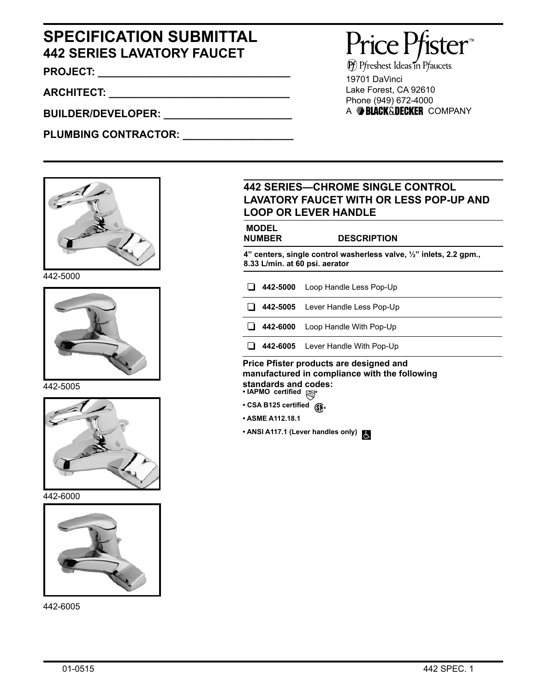## **SPECIFICATION SUBMITTAL 442 SERIES LAVATORY FAUCET**

**PROJECT: \_\_\_\_\_\_\_\_\_\_\_\_\_\_\_\_\_\_\_\_\_\_\_\_\_\_\_\_\_\_\_\_\_**

**ARCHITECT: \_\_\_\_\_\_\_\_\_\_\_\_\_\_\_\_\_\_\_\_\_\_\_\_\_\_\_\_\_\_\_**

**BUILDER/DEVELOPER: \_\_\_\_\_\_\_\_\_\_\_\_\_\_\_\_\_\_\_\_\_\_**

PLUMBING CONTRACTOR:



442-5000



442-5005



442-6000



442-6005

# Price Pfister

 $\widehat{P}$  Pfreshest Ideas in Pfaucets. 19701 DaVinci Lake Forest, CA 92610 Phone (949) 672-4000 A BLACK&DECKER COMPANY

#### **442 SERIES—CHROME SINGLE CONTROL LAVATORY FAUCET WITH OR LESS POP-UP AND LOOP OR LEVER HANDLE**

| <b>MODEL</b><br><b>NUMBER</b>                                                                         |          | <b>DESCRIPTION</b>                |  |  |
|-------------------------------------------------------------------------------------------------------|----------|-----------------------------------|--|--|
| 4" centers, single control washerless valve, 1/2" inlets, 2.2 gpm.,<br>8.33 L/min. at 60 psi. aerator |          |                                   |  |  |
|                                                                                                       | 442-5000 | Loop Handle Less Pop-Up           |  |  |
|                                                                                                       |          | 442-5005 Lever Handle Less Pop-Up |  |  |
|                                                                                                       | 442-6000 | Loop Handle With Pop-Up           |  |  |
|                                                                                                       |          | 442-6005 Lever Handle With Pop-Up |  |  |

#### **• IAPMO certified standards and codes: Price Pfister products are designed and manufactured in compliance with the following**

- 
- **CSA B125 certified**
- **ASME A112.18.1**
- **ANSI A117.1 (Lever handles only)**